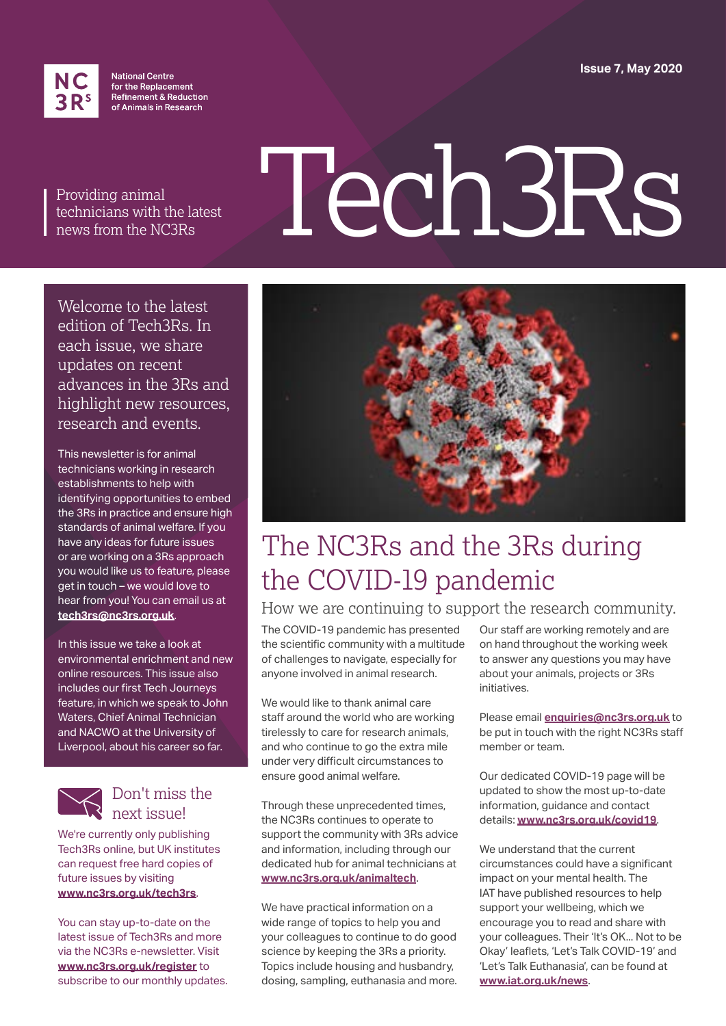**Issue 7, May 2020**



**National Centre** for the Replacement Refinement & Reduction of Animals in Research

Providing animal technicians with the latest news from the NC3Rs

# Tech3Rs

Welcome to the latest edition of Tech3Rs. In each issue, we share updates on recent advances in the 3Rs and highlight new resources, research and events.

This newsletter is for animal technicians working in research establishments to help with identifying opportunities to embed the 3Rs in practice and ensure high standards of animal welfare. If you have any ideas for future issues or are working on a 3Rs approach you would like us to feature, please get in touch – we would love to hear from you! You can email us at **[tech3rs@nc3rs.org.uk](mailto:tech3rs%40nc3rs.org.uk?subject=)**.

In this issue we take a look at environmental enrichment and new online resources. This issue also includes our first Tech Journeys feature, in which we speak to John Waters, Chief Animal Technician and NACWO at the University of Liverpool, about his career so far.



#### Don't miss the next issue!

We're currently only publishing Tech3Rs online, but UK institutes can request free hard copies of future issues by visiting **[www.nc3rs.org.uk/tech3rs](http://www.nc3rs.org.uk/tech3rs)**.

You can stay up-to-date on the latest issue of Tech3Rs and more via the NC3Rs e-newsletter. Visit **[www.nc3rs.org.uk/register](http://www.nc3rs.org.uk/register)** to subscribe to our monthly updates.



### The NC3Rs and the 3Rs during the COVID-19 pandemic

#### How we are continuing to support the research community.

The COVID-19 pandemic has presented the scientific community with a multitude of challenges to navigate, especially for anyone involved in animal research.

We would like to thank animal care staff around the world who are working tirelessly to care for research animals, and who continue to go the extra mile under very difficult circumstances to ensure good animal welfare.

Through these unprecedented times, the NC3Rs continues to operate to support the community with 3Rs advice and information, including through our dedicated hub for animal technicians at **[www.nc3rs.org.uk/animaltech](http://www.nc3rs.org.uk/animaltech)**.

We have practical information on a wide range of topics to help you and your colleagues to continue to do good science by keeping the 3Rs a priority. Topics include housing and husbandry, dosing, sampling, euthanasia and more.

Our staff are working remotely and are on hand throughout the working week to answer any questions you may have about your animals, projects or 3Rs initiatives.

Please email **[enquiries@nc3rs.org.uk](mailto:enquiries%40nc3rs.org.uk?subject=)** to be put in touch with the right NC3Rs staff member or team.

Our dedicated COVID-19 page will be updated to show the most up-to-date information, guidance and contact details: **[www.nc3rs.org.uk/covid19](http://www.nc3rs.org.uk/covid19)**.

We understand that the current circumstances could have a significant impact on your mental health. The IAT have published resources to help support your wellbeing, which we encourage you to read and share with your colleagues. Their 'It's OK... Not to be Okay' leaflets, 'Let's Talk COVID-19' and 'Let's Talk Euthanasia', can be found at **[www.iat.org.uk/news](http://www.iat.org.uk/news)**.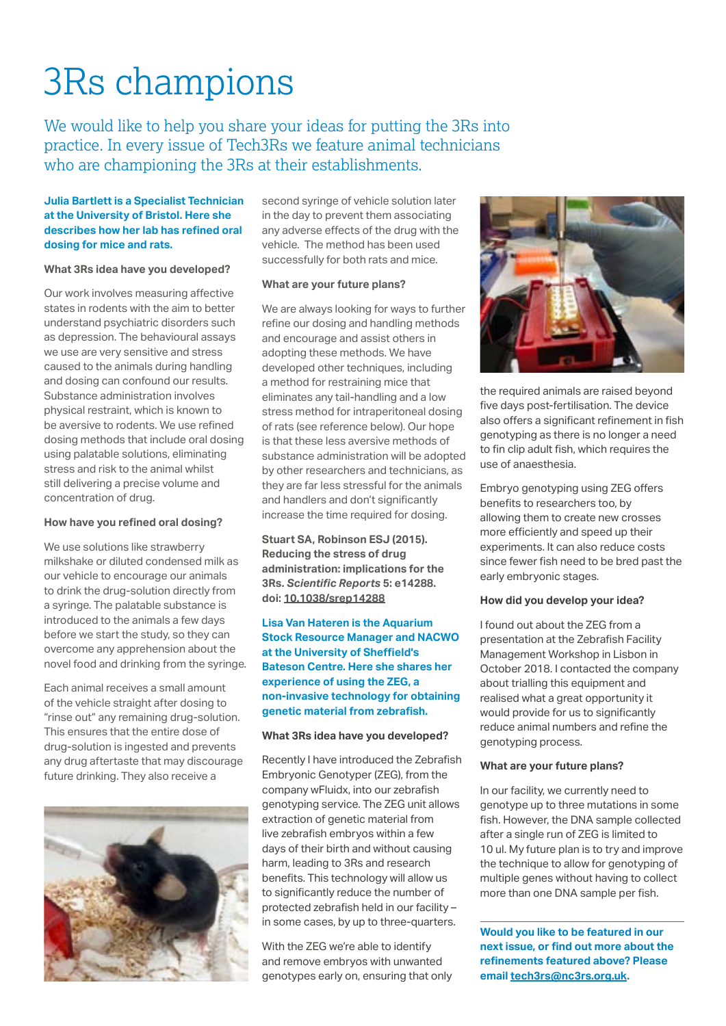## 3Rs champions

We would like to help you share your ideas for putting the 3Rs into practice. In every issue of Tech3Rs we feature animal technicians who are championing the 3Rs at their establishments.

#### **Julia Bartlett is a Specialist Technician at the University of Bristol. Here she describes how her lab has refined oral dosing for mice and rats.**

#### **What 3Rs idea have you developed?**

Our work involves measuring affective states in rodents with the aim to better understand psychiatric disorders such as depression. The behavioural assays we use are very sensitive and stress caused to the animals during handling and dosing can confound our results. Substance administration involves physical restraint, which is known to be aversive to rodents. We use refined dosing methods that include oral dosing using palatable solutions, eliminating stress and risk to the animal whilst still delivering a precise volume and concentration of drug.

#### **How have you refined oral dosing?**

We use solutions like strawberry milkshake or diluted condensed milk as our vehicle to encourage our animals to drink the drug-solution directly from a syringe. The palatable substance is introduced to the animals a few days before we start the study, so they can overcome any apprehension about the novel food and drinking from the syringe.

Each animal receives a small amount of the vehicle straight after dosing to "rinse out" any remaining drug-solution. This ensures that the entire dose of drug-solution is ingested and prevents any drug aftertaste that may discourage future drinking. They also receive a



second syringe of vehicle solution later in the day to prevent them associating any adverse effects of the drug with the vehicle. The method has been used successfully for both rats and mice.

#### **What are your future plans?**

We are always looking for ways to further refine our dosing and handling methods and encourage and assist others in adopting these methods. We have developed other techniques, including a method for restraining mice that eliminates any tail-handling and a low stress method for intraperitoneal dosing of rats (see reference below). Our hope is that these less aversive methods of substance administration will be adopted by other researchers and technicians, as they are far less stressful for the animals and handlers and don't significantly increase the time required for dosing.

**Stuart SA, Robinson ESJ (2015). Reducing the stress of drug administration: implications for the 3Rs.** *Scientific Reports* **5: e14288. doi: [10.1038/srep14288](https://doi.org/10.1038/srep14288)**

**Lisa Van Hateren is the Aquarium Stock Resource Manager and NACWO at the University of Sheffield's Bateson Centre. Here she shares her experience of using the ZEG, a non-invasive technology for obtaining genetic material from zebrafish.**

#### **What 3Rs idea have you developed?**

Recently I have introduced the Zebrafish Embryonic Genotyper (ZEG), from the company wFluidx, into our zebrafish genotyping service. The ZEG unit allows extraction of genetic material from live zebrafish embryos within a few days of their birth and without causing harm, leading to 3Rs and research benefits. This technology will allow us to significantly reduce the number of protected zebrafish held in our facility – in some cases, by up to three-quarters.

With the ZEG we're able to identify and remove embryos with unwanted genotypes early on, ensuring that only



the required animals are raised beyond five days post-fertilisation. The device also offers a significant refinement in fish genotyping as there is no longer a need to fin clip adult fish, which requires the use of anaesthesia.

Embryo genotyping using ZEG offers benefits to researchers too, by allowing them to create new crosses more efficiently and speed up their experiments. It can also reduce costs since fewer fish need to be bred past the early embryonic stages.

#### **How did you develop your idea?**

I found out about the ZEG from a presentation at the Zebrafish Facility Management Workshop in Lisbon in October 2018. I contacted the company about trialling this equipment and realised what a great opportunity it would provide for us to significantly reduce animal numbers and refine the genotyping process.

#### **What are your future plans?**

In our facility, we currently need to genotype up to three mutations in some fish. However, the DNA sample collected after a single run of ZEG is limited to 10 ul. My future plan is to try and improve the technique to allow for genotyping of multiple genes without having to collect more than one DNA sample per fish.

**Would you like to be featured in our next issue, or find out more about the refinements featured above? Please email [tech3rs@nc3rs.org.uk](mailto:tech3rs%40nc3rs.org.uk?subject=).**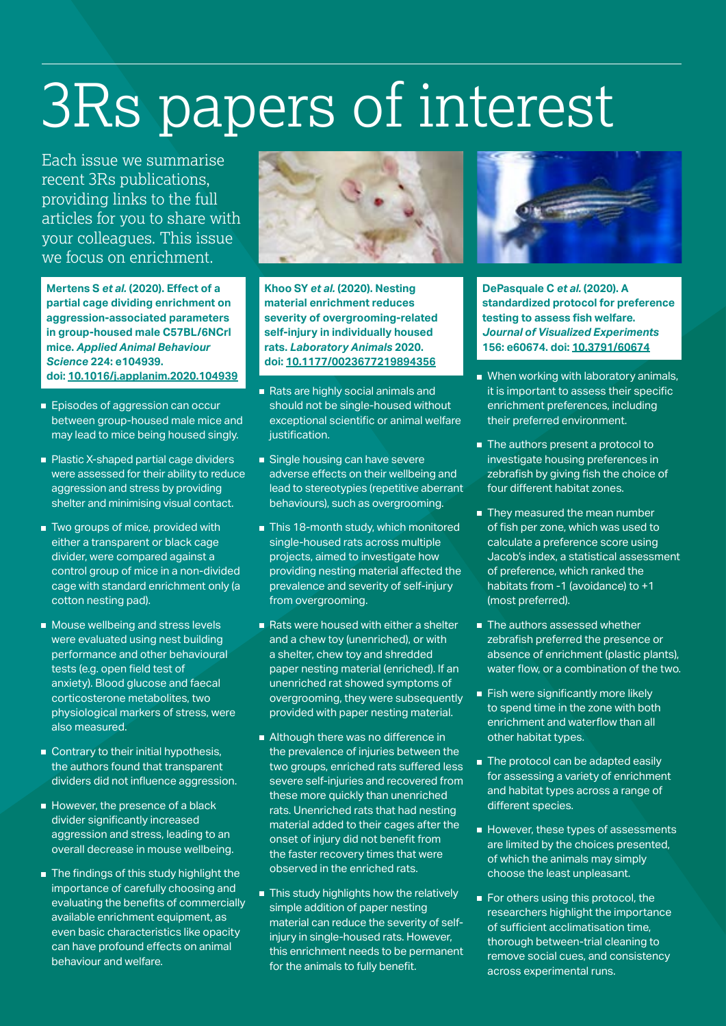## 3Rs papers of interest

Each issue we summarise recent 3Rs publications, providing links to the full articles for you to share with your colleagues. This issue we focus on enrichment.

**Mertens S** *et al.* **(2020). Effect of a partial cage dividing enrichment on aggression-associated parameters in group-housed male C57BL/6NCrl mice.** *Applied Animal Behaviour Science* **224: e104939. doi: [10.1016/j.applanim.2020.104939](http://doi.org/10.1016/j.applanim.2020.104939)**

- **Episodes of aggression can occur** between group-housed male mice and may lead to mice being housed singly.
- Plastic X-shaped partial cage dividers were assessed for their ability to reduce aggression and stress by providing shelter and minimising visual contact.
- Two groups of mice, provided with either a transparent or black cage divider, were compared against a control group of mice in a non-divided cage with standard enrichment only (a cotton nesting pad).
- **Mouse wellbeing and stress levels** were evaluated using nest building performance and other behavioural tests (e.g. open field test of anxiety). Blood glucose and faecal corticosterone metabolites, two physiological markers of stress, were also measured.
- Contrary to their initial hypothesis, the authors found that transparent dividers did not influence aggression.
- However, the presence of a black divider significantly increased aggression and stress, leading to an overall decrease in mouse wellbeing.
- The findings of this study highlight the importance of carefully choosing and evaluating the benefits of commercially available enrichment equipment, as even basic characteristics like opacity can have profound effects on animal behaviour and welfare.



**Khoo SY** *et al.* **(2020). Nesting material enrichment reduces severity of overgrooming-related self-injury in individually housed rats.** *Laboratory Animals* **2020. doi: [10.1177/0023677219894356](http://doi.org/10.1177/0023677219894356)**

- Rats are highly social animals and should not be single-housed without exceptional scientific or animal welfare justification.
- Single housing can have severe adverse effects on their wellbeing and lead to stereotypies (repetitive aberrant behaviours), such as overgrooming.
- This 18-month study, which monitored single-housed rats across multiple projects, aimed to investigate how providing nesting material affected the prevalence and severity of self-injury from overgrooming.
- Rats were housed with either a shelter and a chew toy (unenriched), or with a shelter, chew toy and shredded paper nesting material (enriched). If an unenriched rat showed symptoms of overgrooming, they were subsequently provided with paper nesting material.
- Although there was no difference in the prevalence of injuries between the two groups, enriched rats suffered less severe self-injuries and recovered from these more quickly than unenriched rats. Unenriched rats that had nesting material added to their cages after the onset of injury did not benefit from the faster recovery times that were observed in the enriched rats.
- This study highlights how the relatively simple addition of paper nesting material can reduce the severity of selfinjury in single-housed rats. However, this enrichment needs to be permanent for the animals to fully benefit.



**DePasquale C** *et al.* **(2020). A standardized protocol for preference testing to assess fish welfare.**  *Journal of Visualized Experiments* **156: e60674. doi: [10.3791/60674](http://doi.org/10.3791/60674)**

- When working with laboratory animals, it is important to assess their specific enrichment preferences, including their preferred environment.
- The authors present a protocol to investigate housing preferences in zebrafish by giving fish the choice of four different habitat zones.
- They measured the mean number of fish per zone, which was used to calculate a preference score using Jacob's index, a statistical assessment of preference, which ranked the habitats from -1 (avoidance) to +1 (most preferred).
- The authors assessed whether zebrafish preferred the presence or absence of enrichment (plastic plants), water flow, or a combination of the two.
- $\blacksquare$  Fish were significantly more likely to spend time in the zone with both enrichment and waterflow than all other habitat types.
- The protocol can be adapted easily for assessing a variety of enrichment and habitat types across a range of different species.
- $\blacksquare$  However, these types of assessments are limited by the choices presented, of which the animals may simply choose the least unpleasant.
- For others using this protocol, the researchers highlight the importance of sufficient acclimatisation time, thorough between-trial cleaning to remove social cues, and consistency across experimental runs.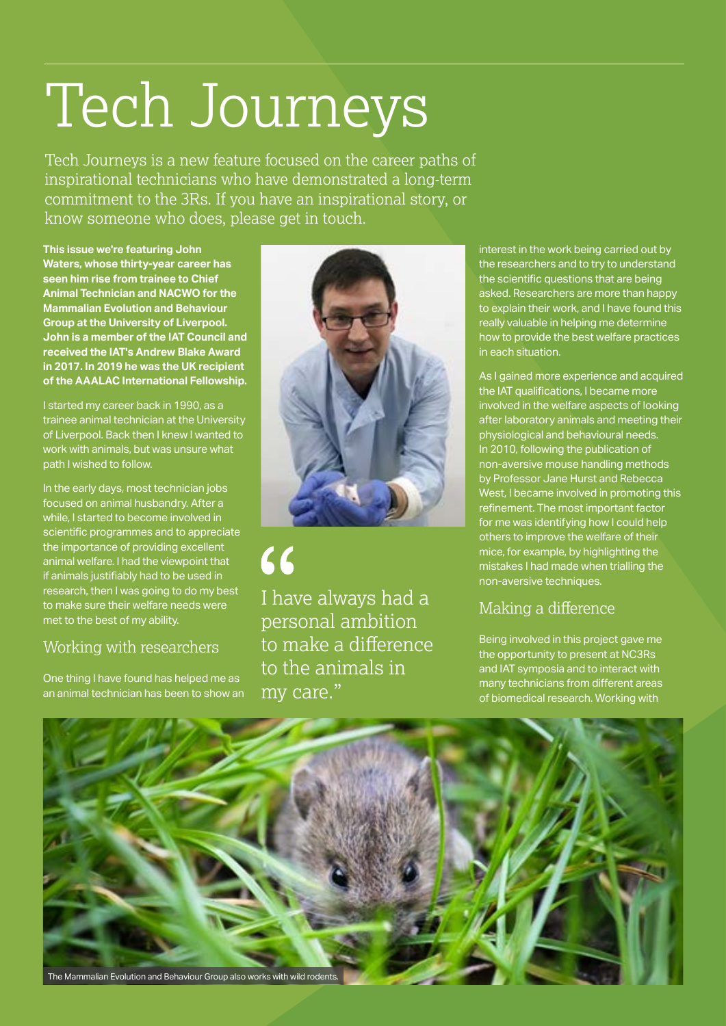## Tech Journeys

Tech Journeys is a new feature focused on the career paths of inspirational technicians who have demonstrated a long-term commitment to the 3Rs. If you have an inspirational story, or know someone who does, please get in touch.

**This issue we're featuring John Waters, whose thirty-year career has seen him rise from trainee to Chief Animal Technician and NACWO for the Mammalian Evolution and Behaviour Group at the University of Liverpool. John is a member of the IAT Council and received the IAT's Andrew Blake Award in 2017. In 2019 he was the UK recipient of the AAALAC International Fellowship.**

I started my career back in 1990, as a trainee animal technician at the University of Liverpool. Back then I knew I wanted to work with animals, but was unsure what path I wished to follow.

In the early days, most technician jobs focused on animal husbandry. After a while, I started to become involved in scientific programmes and to appreciate the importance of providing excellent animal welfare. I had the viewpoint that if animals justifiably had to be used in research, then I was going to do my best to make sure their welfare needs were met to the best of my ability.

#### Working with researchers

One thing I have found has helped me as an animal technician has been to show an



 $66$ I have always had a personal ambition to make a difference to the animals in my care."

interest in the work being carried out by the researchers and to try to understand the scientific questions that are being asked. Researchers are more than happy to explain their work, and I have found this really valuable in helping me determine how to provide the best welfare practices in each situation.

As I gained more experience and acquired the IAT qualifications, I became more involved in the welfare aspects of looking after laboratory animals and meeting their physiological and behavioural needs. In 2010, following the publication of non-aversive mouse handling methods by Professor Jane Hurst and Rebecca West, I became involved in promoting this refinement. The most important factor for me was identifying how I could help others to improve the welfare of their mice, for example, by highlighting the mistakes I had made when trialling the non-aversive techniques.

#### Making a difference

Being involved in this project gave me the opportunity to present at NC3Rs and IAT symposia and to interact with many technicians from different areas of biomedical research. Working with

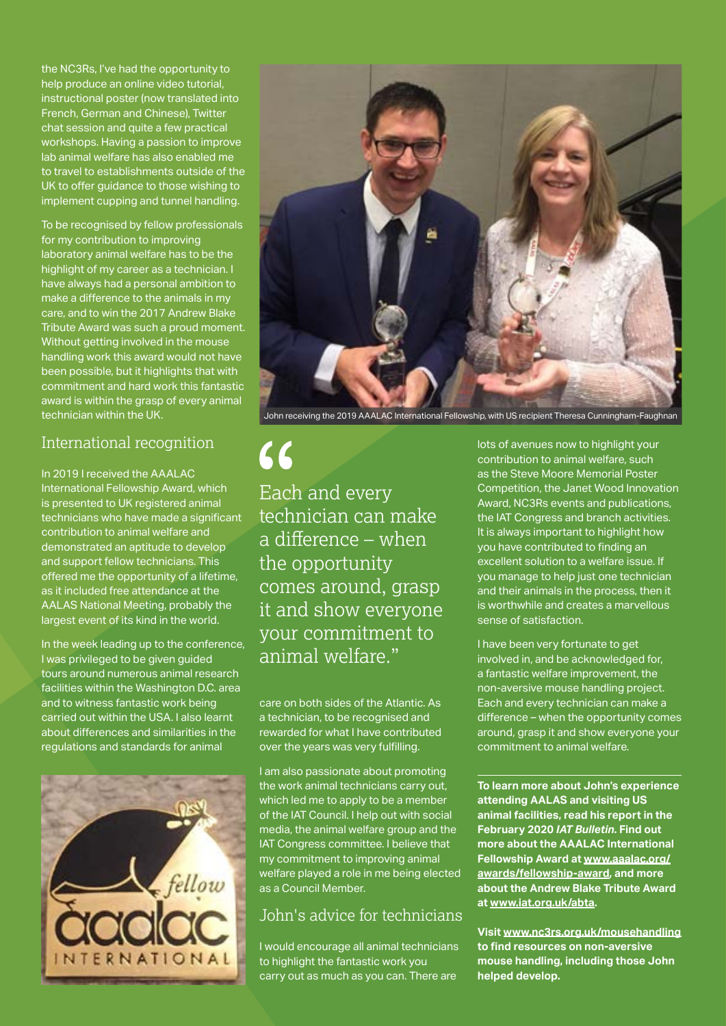the NC3Rs, I've had the opportunity to help produce an online video tutorial, instructional poster (now translated into French, German and Chinese), Twitter chat session and quite a few practical workshops. Having a passion to improve lab animal welfare has also enabled me to travel to establishments outside of the UK to offer guidance to those wishing to implement cupping and tunnel handling.

To be recognised by fellow professionals for my contribution to improving laboratory animal welfare has to be the highlight of my career as a technician. I have always had a personal ambition to make a difference to the animals in my care, and to win the 2017 Andrew Blake Tribute Award was such a proud moment. Without getting involved in the mouse handling work this award would not have been possible, but it highlights that with commitment and hard work this fantastic award is within the grasp of every animal technician within the UK.

#### International recognition

In 2019 I received the AAALAC International Fellowship Award, which is presented to UK registered animal technicians who have made a significant contribution to animal welfare and demonstrated an aptitude to develop and support fellow technicians. This offered me the opportunity of a lifetime, as it included free attendance at the AALAS National Meeting, probably the largest event of its kind in the world.

In the week leading up to the conference, I was privileged to be given guided tours around numerous animal research facilities within the Washington D.C. area and to witness fantastic work being carried out within the USA. I also learnt about differences and similarities in the regulations and standards for animal





John receiving the 2019 AAALAC International Fellowship, with US recipient Theresa Cunningham-Faughnan

 $66$ 

Each and every technician can make a difference – when the opportunity comes around, grasp it and show everyone your commitment to animal welfare."

care on both sides of the Atlantic. As a technician, to be recognised and rewarded for what I have contributed over the years was very fulfilling.

I am also passionate about promoting the work animal technicians carry out, which led me to apply to be a member of the IAT Council. I help out with social media, the animal welfare group and the IAT Congress committee. I believe that my commitment to improving animal welfare played a role in me being elected as a Council Member.

#### John's advice for technicians

I would encourage all animal technicians to highlight the fantastic work you carry out as much as you can. There are

lots of avenues now to highlight your contribution to animal welfare, such as the Steve Moore Memorial Poster Competition, the Janet Wood Innovation Award, NC3Rs events and publications, the IAT Congress and branch activities. It is always important to highlight how you have contributed to finding an excellent solution to a welfare issue. If you manage to help just one technician and their animals in the process, then it is worthwhile and creates a marvellous sense of satisfaction.

I have been very fortunate to get involved in, and be acknowledged for, a fantastic welfare improvement, the non-aversive mouse handling project. Each and every technician can make a difference – when the opportunity comes around, grasp it and show everyone your commitment to animal welfare.

**To learn more about John's experience attending AALAS and visiting US animal facilities, read his report in the February 2020** *IAT Bulletin***. Find out more about the AAALAC International Fellowship Award at [www.aaalac.org/](http://www.aaalac.org/awards/fellowship-award) [awards/fellowship-award,](http://www.aaalac.org/awards/fellowship-award) and more about the Andrew Blake Tribute Award at [www.iat.org.uk/abta.](http://www.iat.org.uk/abta)**

**Visit [www.nc3rs.org.uk/mousehandling](http://www.nc3rs.org.uk/mousehandling )  to find resources on non-aversive mouse handling, including those John helped develop.**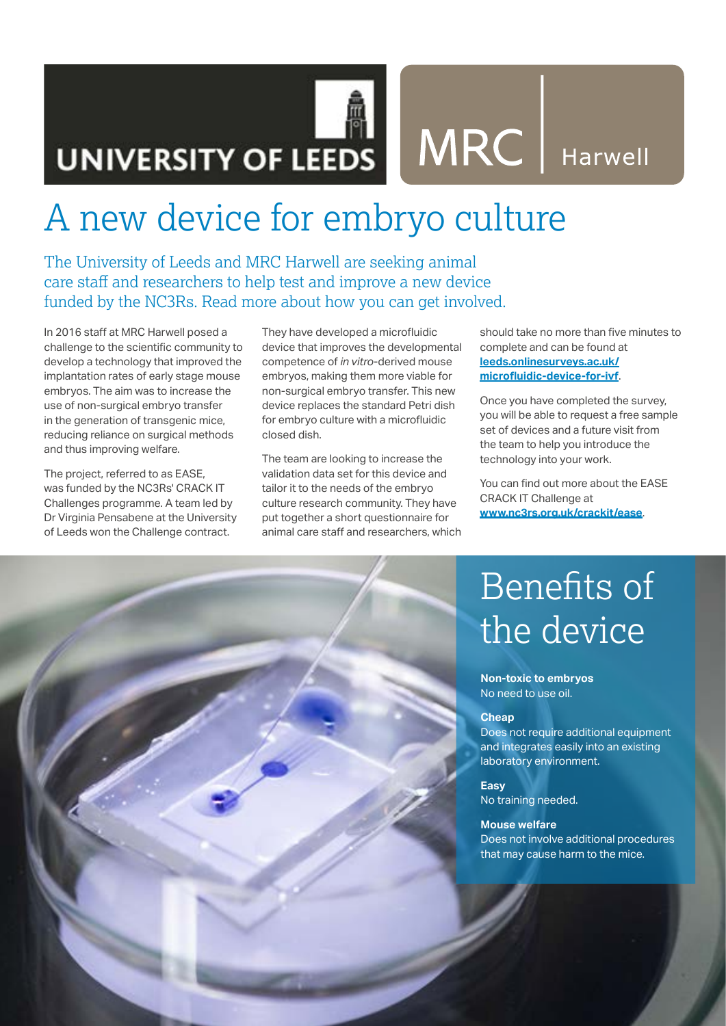## UNIVERSITY OF LEEDS MRC Harwell

### A new device for embryo culture

The University of Leeds and MRC Harwell are seeking animal care staff and researchers to help test and improve a new device funded by the NC3Rs. Read more about how you can get involved.

In 2016 staff at MRC Harwell posed a challenge to the scientific community to develop a technology that improved the implantation rates of early stage mouse embryos. The aim was to increase the use of non-surgical embryo transfer in the generation of transgenic mice, reducing reliance on surgical methods and thus improving welfare.

The project, referred to as EASE, was funded by the NC3Rs' CRACK IT Challenges programme. A team led by Dr Virginia Pensabene at the University of Leeds won the Challenge contract.

They have developed a microfluidic device that improves the developmental competence of *in vitro*-derived mouse embryos, making them more viable for non-surgical embryo transfer. This new device replaces the standard Petri dish for embryo culture with a microfluidic closed dish.

The team are looking to increase the validation data set for this device and tailor it to the needs of the embryo culture research community. They have put together a short questionnaire for animal care staff and researchers, which

should take no more than five minutes to complete and can be found at **[leeds.onlinesurveys.ac.uk/](https://leeds.onlinesurveys.ac.uk/microfluidic-device-for-ivf) [microfluidic-device-for-ivf](https://leeds.onlinesurveys.ac.uk/microfluidic-device-for-ivf)**.

Once you have completed the survey, you will be able to request a free sample set of devices and a future visit from the team to help you introduce the technology into your work.

You can find out more about the EASE CRACK IT Challenge at **[www.nc3rs.org.uk/crackit/ease](http://www.nc3rs.org.uk/crackit/ease)**.

### Benefits of the device

**Non-toxic to embryos** No need to use oil.

#### **Cheap**

Does not require additional equipment and integrates easily into an existing laboratory environment.

**Easy** No training needed.

#### **Mouse welfare**

Does not involve additional procedures that may cause harm to the mice.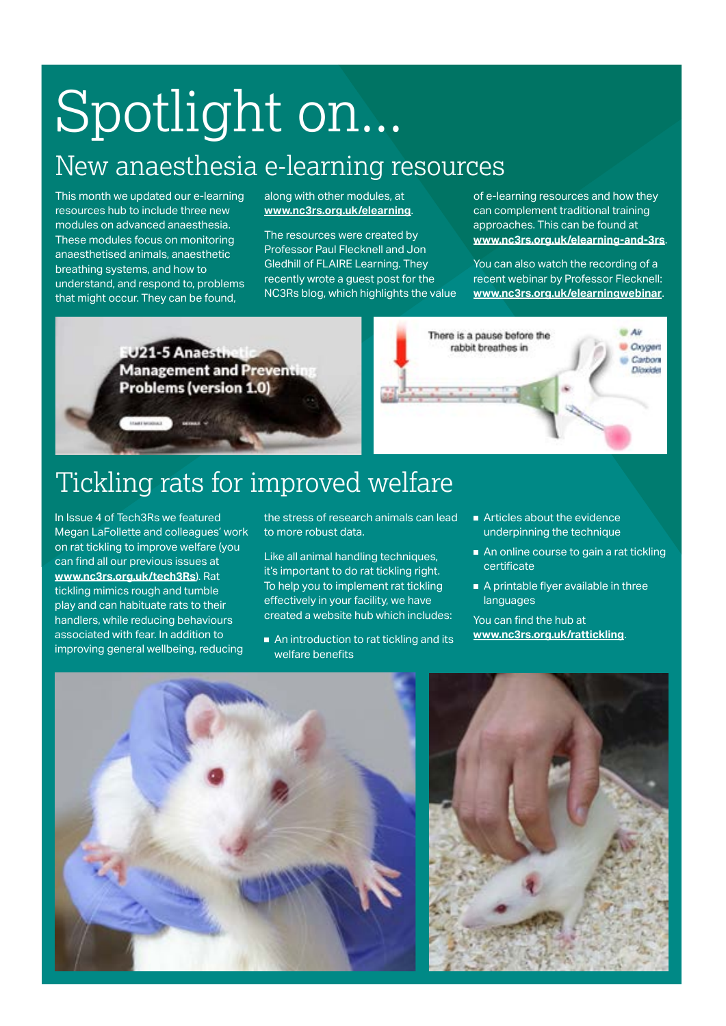## Spotlight on...

### New anaesthesia e-learning resources

This month we updated our e-learning resources hub to include three new modules on advanced anaesthesia. These modules focus on monitoring anaesthetised animals, anaesthetic breathing systems, and how to understand, and respond to, problems that might occur. They can be found,

along with other modules, at **[www.nc3rs.org.uk/elearning](http://www.nc3rs.org.uk/elearning)**.

The resources were created by Professor Paul Flecknell and Jon Gledhill of FLAIRE Learning. They recently wrote a guest post for the NC3Rs blog, which highlights the value of e-learning resources and how they can complement traditional training approaches. This can be found at **[www.nc3rs.org.uk/elearning-and-3rs](http://www.nc3rs.org.uk/e-learning-and-3rs)**.

You can also watch the recording of a recent webinar by Professor Flecknell: **[www.nc3rs.org.uk/elearningwebinar](http://www.nc3rs.org.uk/elearningwebinar)**.

U21-5 Anaesti **Management and Preven Problems (version 1.0)** 



### Tickling rats for improved welfare

In Issue 4 of Tech3Rs we featured Megan LaFollette and colleagues' work on rat tickling to improve welfare (you can find all our previous issues at **[www.nc3rs.org.uk/tech3Rs](http://www.nc3rs.org.uk/tech3Rs)**). Rat tickling mimics rough and tumble play and can habituate rats to their handlers, while reducing behaviours associated with fear. In addition to improving general wellbeing, reducing

the stress of research animals can lead to more robust data.

Like all animal handling techniques, it's important to do rat tickling right. To help you to implement rat tickling effectively in your facility, we have created a website hub which includes:

- An introduction to rat tickling and its welfare benefits
- Articles about the evidence underpinning the technique
- An online course to gain a rat tickling certificate
- A printable flyer available in three languages

You can find the hub at **[www.nc3rs.org.uk/](http://www.nc3rs.org.uk/mousehandlingresearch)rattickling**.